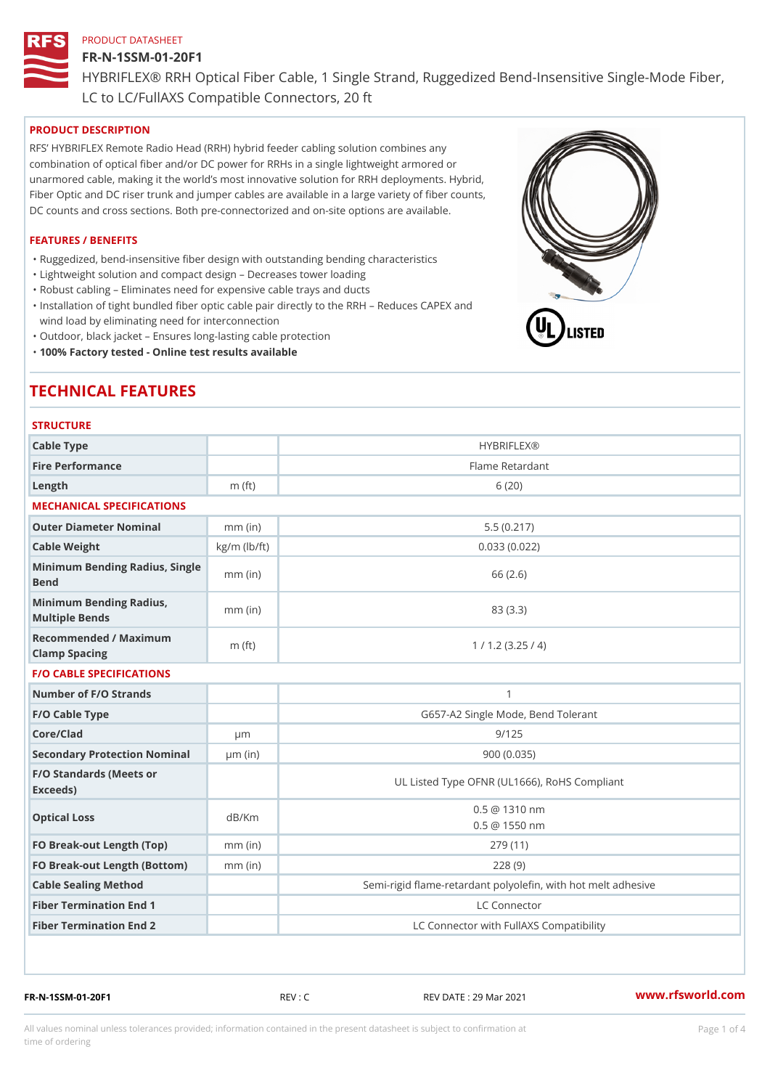# FR-N-1SSM-01-20F1

HYBRIFLEX® RRH Optical Fiber Cable, 1 Single Strand, Ruggedized Be

LC to LC/FullAXS Compatible Connectors, 20 ft

# PRODUCT DESCRIPTION

RFS HYBRIFLEX Remote Radio Head (RRH) hybrid feeder cabling solution combines any combination of optical fiber and/or DC power for RRHs in a single lightweight armored or unarmored cable, making it the world s most innovative solution for RRH deployments. Hybrid, Fiber Optic and DC riser trunk and jumper cables are available in a large variety of fiber counts, DC counts and cross sections. Both pre-connectorized and on-site options are available.

## FEATURES / BENEFITS

"Ruggedized, bend-insensitive fiber design with outstanding bending characteristics

- "Lightweight solution and compact design Decreases tower loading
- "Robust cabling Eliminates need for expensive cable trays and ducts
- "Installation of tight bundled fiber optic cable pair directly to the RRH Aeduces CAPEX and wind load by eliminating need for interconnection
- "Outdoor, black jacket Ensures long-lasting cable protection
- "100% Factory tested Online test results available

# TECHNICAL FEATURES

# **STRUCTURE**

| Cable Type                                        |                    | <b>HYBRIFLEX®</b>                                        |
|---------------------------------------------------|--------------------|----------------------------------------------------------|
| Fire Performance                                  |                    | Flame Retardant                                          |
| $L$ ength                                         | $m$ (ft)           | 6(20)                                                    |
| MECHANICAL SPECIFICATIONS                         |                    |                                                          |
| Outer Diameter Nominal                            | $mm$ (in)          | 5.5(0.217)                                               |
| Cable Weight                                      | $kg/m$ ( $lb/ft$ ) | 0.033(0.022)                                             |
| Minimum Bending Radius, Single<br>Bend            |                    | 66 (2.6)                                                 |
| Minimum Bending Radius, mm (in)<br>Multiple Bends |                    | 83 (3.3)                                                 |
| Recommended / Maximum<br>Clamp Spacing            | $m$ (ft)           | 1 / 1.2 (3.25 / 4)                                       |
| <b>F/O CABLE SPECIFICATIONS</b>                   |                    |                                                          |
| Number of F/O Strands                             |                    | $\mathbf{1}$                                             |
| F/O Cable Type                                    |                    | G657-A2 Single Mode, Bend Tolerant                       |
| Core/Clad                                         | $\mu$ m            | 9/125                                                    |
| Secondary Protection Nomimal(in)                  |                    | 900(0.035)                                               |
| F/O Standards (Meets or<br>Exceeds)               |                    | UL Listed Type OFNR (UL1666), RoHS Compliant             |
| Optical Loss                                      | dB/Km              | $0.5 \t@ 1310 nm$<br>$0.5 \t@ 1550 nm$                   |
| FO Break-out Length (Top)mm (in)                  |                    | 279 (11)                                                 |
| FO Break-out Length (Bottmomm) (in)               |                    | 228(9)                                                   |
| Cable Sealing Method                              |                    | Semi-rigid flame-retardant polyolefin, with hot melt adl |
| Fiber Termination End                             |                    | LC Connector                                             |
| Fiber Termination End 2                           |                    | LC Connector with FullAXS Compatibility                  |

FR-N-1SSM-01-20F1 REV : C REV DATE : 29 Mar 2021 [www.](https://www.rfsworld.com)rfsworld.com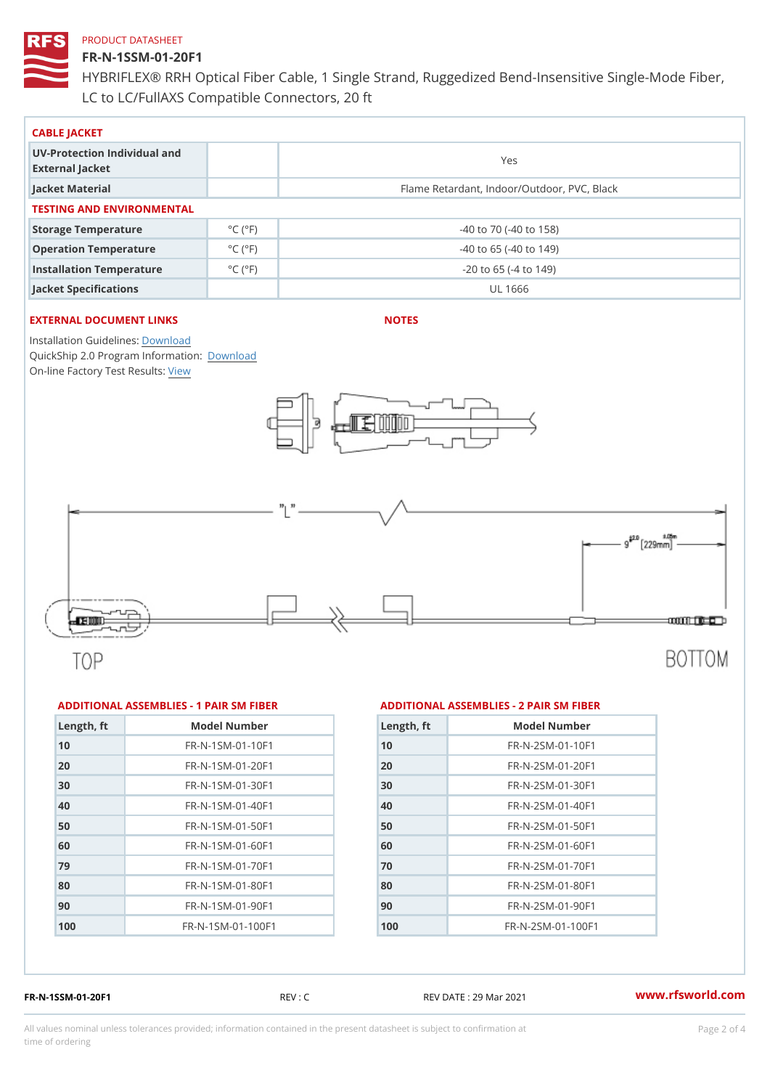# FR-N-1SSM-01-20F1

HYBRIFLEX® RRH Optical Fiber Cable, 1 Single Strand, Ruggedized Be LC to LC/FullAXS Compatible Connectors, 20 ft

| CABLE JACKET                                    |                              |                                             |  |  |  |
|-------------------------------------------------|------------------------------|---------------------------------------------|--|--|--|
| UV-Protection Individual and<br>External Jacket |                              | Yes                                         |  |  |  |
| Jacket Material                                 |                              | Flame Retardant, Indoor/Outdoor, PVC, Black |  |  |  |
| TESTING AND ENVIRONMENTAL                       |                              |                                             |  |  |  |
| Storage Temperature                             | $^{\circ}$ C ( $^{\circ}$ F) | $-40$ to $70$ ( $-40$ to $158$ )            |  |  |  |
| Operation Temperature                           | $^{\circ}$ C ( $^{\circ}$ F  | $-40$ to 65 ( $-40$ to 149)                 |  |  |  |
| Installation Temperature                        | $^{\circ}$ C ( $^{\circ}$ F  | $-20$ to 65 ( $-4$ to 149)                  |  |  |  |
| Jacket Specifications                           |                              | UL 1666                                     |  |  |  |

# EXTERNAL DOCUMENT LINKS

NOTES

Installation Guidelwinessad QuickShip 2.0 Program [Informa](http://www.rfsworld.com/images/hybriflex/quickship_program_2.pdf)tion: On-line Factory Te[s](https://www.rfsworld.com/pictures/userfiles/programs/AAST Latest Version.zip)teResults:

### ADDITIONAL ASSEMBLIES - 1 PAIR SM FIBERED DITIONAL ASSEMBLIES - 2 PAIR SM FIBER

| Length, ft | Model Number                   |
|------------|--------------------------------|
| 10         | $FR - N - 1$ S M - 01 - 10 F 1 |
| 20         | $FR - N - 1$ S M - 01 - 20 F 1 |
| 30         | FR-N-1SM-01-30F1               |
| 40         | FR-N-1SM-01-40F1               |
| 50         | FR-N-1SM-01-50F1               |
| 60         | FR-N-1SM-01-60F1               |
| 79         | FR-N-1SM-01-70F1               |
| 80         | FR-N-1SM-01-80F1               |
| 90         | $FR - N - 1$ S M - 01 - 90 F 1 |
| 100        | FR-N-1SM-01-100F1              |

| Length, ft | Model Number                  |
|------------|-------------------------------|
| 10         | $FR - N - 2SM - 01 - 10F1$    |
| 20         | FR-N-2SM-01-20F1              |
| 30         | $FR - N - 2 SM - 01 - 30 F1$  |
| 40         | $FR - N - 2 SM - 01 - 40 F1$  |
| 50         | FR-N-2SM-01-50F1              |
| 60         | FR-N-2SM-01-60F1              |
| 70         | $FR - N - 2 SM - 01 - 70 F1$  |
| 80         | FR-N-2SM-01-80F1              |
| 90         | $FR - N - 2 S M - 01 - 90 F1$ |
| 100        | $FR - N - 2 SM - 01 - 100 F1$ |
|            |                               |

FR-N-1SSM-01-20F1 REV : C REV DATE : 29 Mar 2021 [www.](https://www.rfsworld.com)rfsworld.com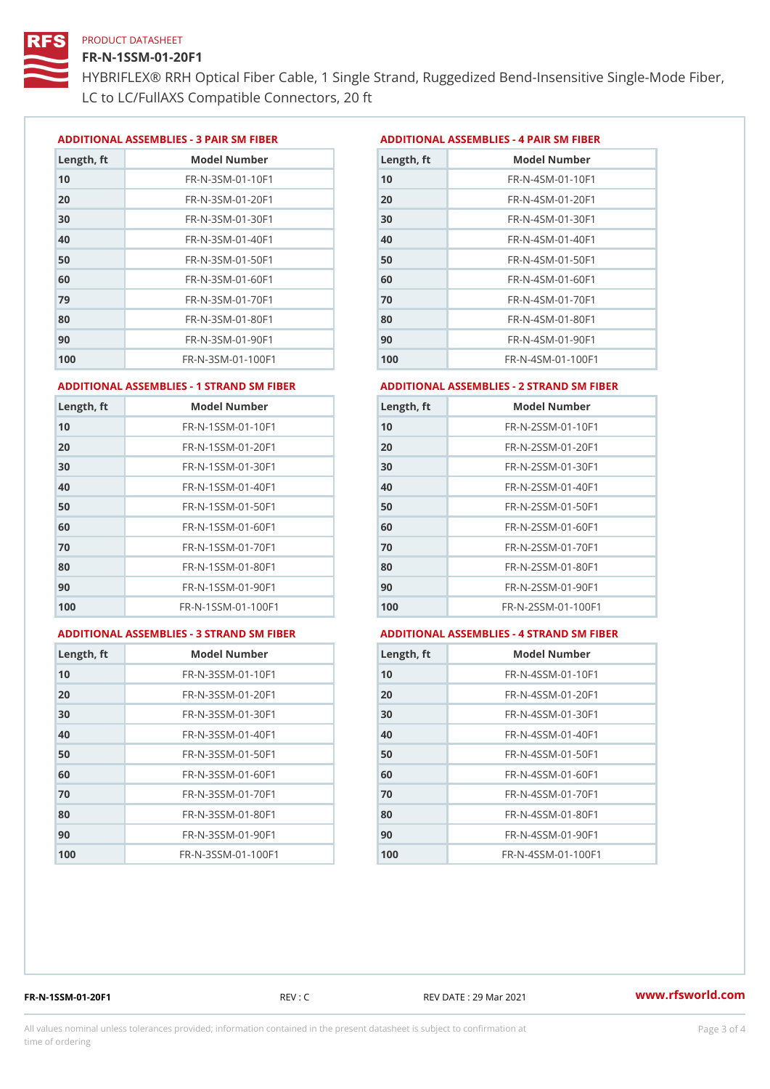# FR-N-1SSM-01-20F1

HYBRIFLEX® RRH Optical Fiber Cable, 1 Single Strand, Ruggedized Be LC to LC/FullAXS Compatible Connectors, 20 ft

ADDITIONAL ASSEMBLIES - 3 PAIR SM FIBERED DITIONAL ASSEMBLIES - 4 PAIR SM FIBER

| Length, ft | Model Number                   |
|------------|--------------------------------|
| 10         | $FR - N - 3 S M - 01 - 10 F1$  |
| 20         | $FR - N - 3 S M - 01 - 20 F1$  |
| 30         | FR-N-3SM-01-30F1               |
| 40         | $FR - N - 3 S M - 01 - 40 F1$  |
| 50         | FR-N-3SM-01-50F1               |
| 60         | $FR - N - 3 S M - 01 - 60 F1$  |
| 79         | $FR - N - 3 S M - 01 - 70 F1$  |
| 80         | $FR - N - 3 S M - 01 - 80 F1$  |
| 90         | FR-N-3SM-01-90F1               |
| 100        | $FR - N - 3 S M - 01 - 100 F1$ |

| Length, ft | Model Number                   |
|------------|--------------------------------|
| 10         | $FR - N - 4 SM - 01 - 10 F1$   |
| 20         | FR-N-4SM-01-20F1               |
| 30         | $FR - N - 4 S M - 01 - 30 F1$  |
| 40         | $FR - N - 4 S M - 01 - 40 F1$  |
| 50         | $FR - N - 4 SM - 01 - 50 F1$   |
| 60         | $FR - N - 4 SM - 01 - 60 F1$   |
| 7 0        | $FR - N - 4 SM - 01 - 70 F1$   |
| 80         | $FR - N - 4 S M - 01 - 80 F1$  |
| 90         | FR-N-4SM-01-90F1               |
| 100        | $FR - N - 4 S M - 01 - 100 F1$ |

#### ADDITIONAL ASSEMBLIES - 1 STRAND SM FABSDRTIONAL ASSEMBLIES - 2 STRAND SM FIBER

| Length, ft | Model Number                     | $L$ ength, ft | Model Number                |
|------------|----------------------------------|---------------|-----------------------------|
| 10         | FR-N-1SSM-01-10F1                | 10            | FR-N-2SSM-01-10F1           |
| 20         | FR-N-1SSM-01-20F1                | 20            | FR-N-2SSM-01-20F1           |
| 30         | FR-N-1SSM-01-30F1                | 30            | FR-N-2SSM-01-30F1           |
| 40         | $FR - N - 1$ S S M - 01 - 40 F 1 | 40            | $FR - N - 2SSM - 01 - 40F1$ |
| 50         | $FR - N - 1$ S S M - 01 - 50 F 1 | 50            | $FR - N - 2SSM - 01 - 50F1$ |
| 60         | FR-N-1SSM-01-60F1                | 60            | $FR - N - 2SSM - 01 - 60F1$ |
| 70         | $FR - N - 1$ S S M - 01 - 70 F 1 | 70            | $FR - N - 2SSM - 01 - 70F1$ |
| 80         | FR-N-1SSM-01-80F1                | 80            | FR-N-2SSM-01-80F1           |
| 90         | FR-N-1SSM-01-90F1                | 90            | $FR - N - 2SSM - 01 - 90F1$ |
| 100        | FR-N-1SSM-01-100F1               | 100           | FR-N-2SSM-01-100F1          |
|            |                                  |               |                             |

#### ADDITIONAL ASSEMBLIES - 3 STRAND SM FABSDRTIONAL ASSEMBLIES - 4 STRAND SM FIBER

| Length, ft | Model Number                    |
|------------|---------------------------------|
| 10         | $FR - N - 3 S S M - 01 - 10 F1$ |
| 20         | FR-N-3SSM-01-20F1               |
| 30         | FR-N-3SSM-01-30F1               |
| 40         | $FR - N - 3 S S M - 01 - 40 F1$ |
| 50         | $FR - N - 3 S S M - 01 - 50 F1$ |
| 60         | FR-N-3SSM-01-60F1               |
| 70         | FR-N-3SSM-01-70F1               |
| 80         | $FR - N - 3 S S M - 01 - 80 F1$ |
| 90         | FR-N-3SSM-01-90F1               |
| 100        | FR-N-3SSM-01-100F1              |

| Length, ft | Model Number                     |
|------------|----------------------------------|
| 10         | $FR - N - 4$ S S M - 01 - 10 F 1 |
| 20         | FR-N-4SSM-01-20F1                |
| 30         | $FR - N - 4$ S S M - 01 - 30 F 1 |
| 40         | $FR - N - 4 S S M - 01 - 40 F1$  |
| 50         | FR-N-4SSM-01-50F1                |
| 60         | FR-N-4SSM-01-60F1                |
| 70         | $FR - N - 4$ S S M - 01 - 70 F 1 |
| 80         | $FR - N - 4$ S S M - 01 - 80 F 1 |
| 90         | $FR - N - 4$ S S M - 01 - 90 F 1 |
| 100        | FR-N-4SSM-01-100F1               |

FR-N-1SSM-01-20F1 REV : C REV DATE : 29 Mar 2021 [www.](https://www.rfsworld.com)rfsworld.com

All values nominal unless tolerances provided; information contained in the present datasheet is subject to Pcapgeling that i time of ordering